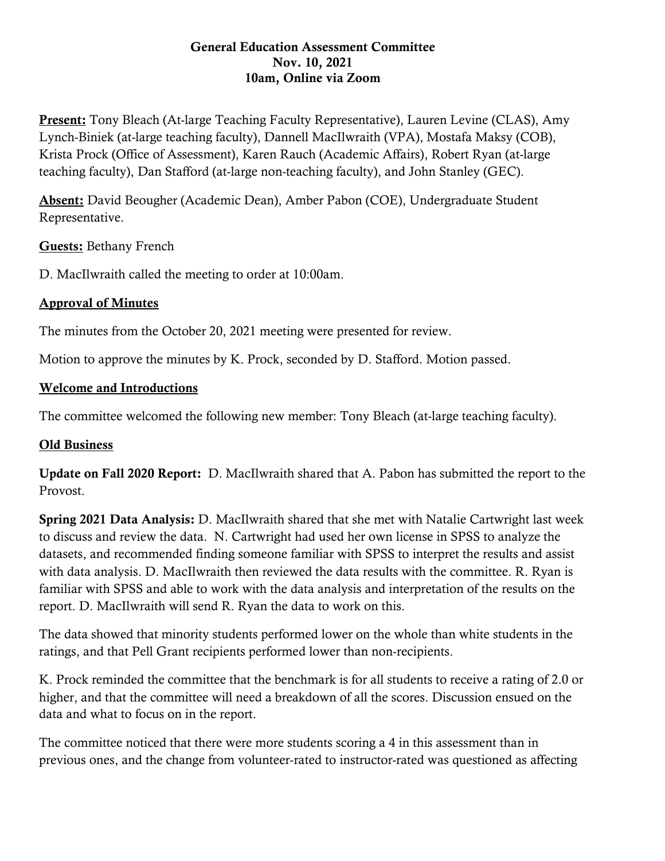### General Education Assessment Committee Nov. 10, 2021 10am, Online via Zoom

Present: Tony Bleach (At-large Teaching Faculty Representative), Lauren Levine (CLAS), Amy Lynch-Biniek (at-large teaching faculty), Dannell MacIlwraith (VPA), Mostafa Maksy (COB), Krista Prock (Office of Assessment), Karen Rauch (Academic Affairs), Robert Ryan (at-large teaching faculty), Dan Stafford (at-large non-teaching faculty), and John Stanley (GEC).

Absent: David Beougher (Academic Dean), Amber Pabon (COE), Undergraduate Student Representative.

Guests: Bethany French

D. MacIlwraith called the meeting to order at 10:00am.

# Approval of Minutes

The minutes from the October 20, 2021 meeting were presented for review.

Motion to approve the minutes by K. Prock, seconded by D. Stafford. Motion passed.

### Welcome and Introductions

The committee welcomed the following new member: Tony Bleach (at-large teaching faculty).

# Old Business

Update on Fall 2020 Report: D. MacIlwraith shared that A. Pabon has submitted the report to the Provost.

Spring 2021 Data Analysis: D. MacIlwraith shared that she met with Natalie Cartwright last week to discuss and review the data. N. Cartwright had used her own license in SPSS to analyze the datasets, and recommended finding someone familiar with SPSS to interpret the results and assist with data analysis. D. MacIlwraith then reviewed the data results with the committee. R. Ryan is familiar with SPSS and able to work with the data analysis and interpretation of the results on the report. D. MacIlwraith will send R. Ryan the data to work on this.

The data showed that minority students performed lower on the whole than white students in the ratings, and that Pell Grant recipients performed lower than non-recipients.

K. Prock reminded the committee that the benchmark is for all students to receive a rating of 2.0 or higher, and that the committee will need a breakdown of all the scores. Discussion ensued on the data and what to focus on in the report.

The committee noticed that there were more students scoring a 4 in this assessment than in previous ones, and the change from volunteer-rated to instructor-rated was questioned as affecting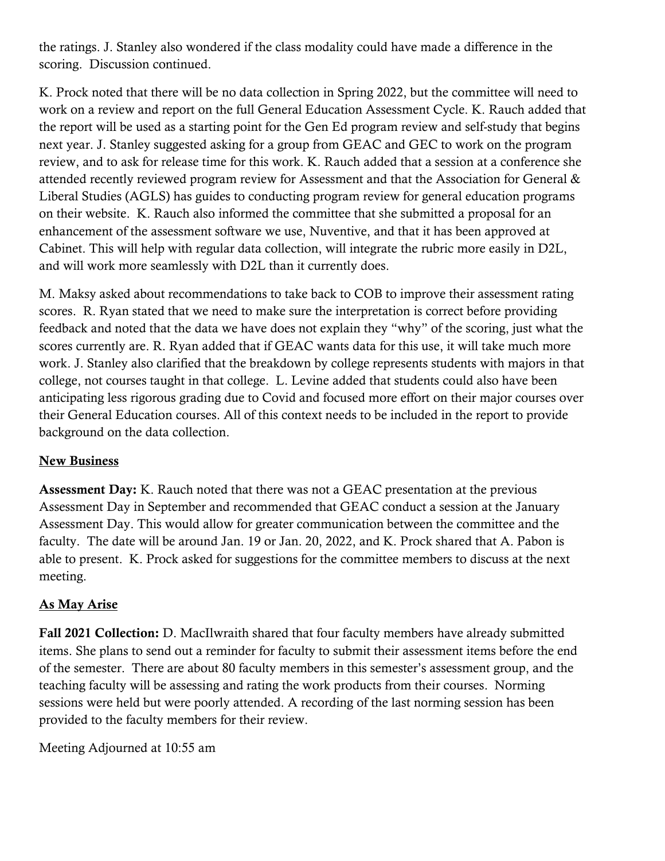the ratings. J. Stanley also wondered if the class modality could have made a difference in the scoring. Discussion continued.

K. Prock noted that there will be no data collection in Spring 2022, but the committee will need to work on a review and report on the full General Education Assessment Cycle. K. Rauch added that the report will be used as a starting point for the Gen Ed program review and self-study that begins next year. J. Stanley suggested asking for a group from GEAC and GEC to work on the program review, and to ask for release time for this work. K. Rauch added that a session at a conference she attended recently reviewed program review for Assessment and that the Association for General & Liberal Studies (AGLS) has guides to conducting program review for general education programs on their website. K. Rauch also informed the committee that she submitted a proposal for an enhancement of the assessment software we use, Nuventive, and that it has been approved at Cabinet. This will help with regular data collection, will integrate the rubric more easily in D2L, and will work more seamlessly with D2L than it currently does.

M. Maksy asked about recommendations to take back to COB to improve their assessment rating scores. R. Ryan stated that we need to make sure the interpretation is correct before providing feedback and noted that the data we have does not explain they "why" of the scoring, just what the scores currently are. R. Ryan added that if GEAC wants data for this use, it will take much more work. J. Stanley also clarified that the breakdown by college represents students with majors in that college, not courses taught in that college. L. Levine added that students could also have been anticipating less rigorous grading due to Covid and focused more effort on their major courses over their General Education courses. All of this context needs to be included in the report to provide background on the data collection.

# New Business

Assessment Day: K. Rauch noted that there was not a GEAC presentation at the previous Assessment Day in September and recommended that GEAC conduct a session at the January Assessment Day. This would allow for greater communication between the committee and the faculty. The date will be around Jan. 19 or Jan. 20, 2022, and K. Prock shared that A. Pabon is able to present. K. Prock asked for suggestions for the committee members to discuss at the next meeting.

# As May Arise

Fall 2021 Collection: D. MacIlwraith shared that four faculty members have already submitted items. She plans to send out a reminder for faculty to submit their assessment items before the end of the semester. There are about 80 faculty members in this semester's assessment group, and the teaching faculty will be assessing and rating the work products from their courses. Norming sessions were held but were poorly attended. A recording of the last norming session has been provided to the faculty members for their review.

Meeting Adjourned at 10:55 am